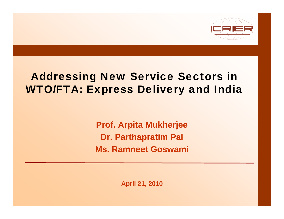

#### Addressing New Service Sectors in WTO/FTA: Express Delivery and India

**Prof Arpita M kherjee Prof. ukherjee Dr. Parthapratim Pal Ms. Ramneet Goswami** 

**April 21, 2010**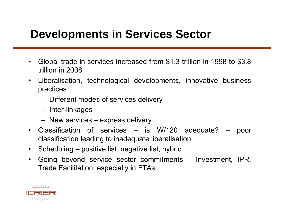#### **Developments in Services Sector**

- • Global trade in services increased from \$1.3 trillion in 1998 to \$3.8 trillion in 2008
- • Liberalisation, technological developments, innovative business practices
	- Different modes o f services delivery
	- Inter-linkages
	- New services ex press deliver y
- • Classification of services – is W/120 adequate? – poor classification leading to inadequate liberalisation
- $\bullet$ • Scheduling – positive list, negative list, hybrid
- $\bullet$  Going beyond service sector commitments – Investment, IPR, Trade Facilitation, especially in FTAs

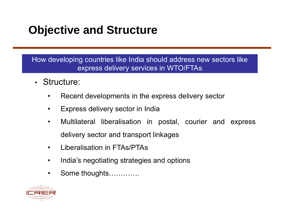#### **Objective and Structure**

How developing countries like India should address new sectors like express delivery services in WTO/FTAs

- Structure:
	- •Recent developments in the express delivery sector
	- •Express delivery sector in India
	- • Multilateral liberalisation in postal, courier and express delivery sector and transport linkages
	- $\bullet$ Liberalisation in FTAs/PTAs
	- •India's negotiating strategies and options
	- •Some thoughts………….

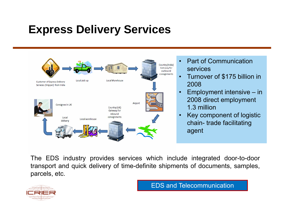#### **Express Delivery Services**



- • Part of Communication services
- $\bullet$  Turnover of \$175 billion in 2008
- • Emplo yment intensive – in 2008 direct employment 1.3 million
- • Key component of logistic chain - trade facilitating agent

The EDS industry provides services which include integrated door-to-door transport and quick delivery of time-definite shipments of documents, samples, parcels, etc.



EDS and Telecommunication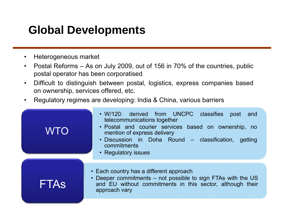#### **Global Developments**

- $\bullet$ Heterogeneous market
- $\bullet$ • Postal Reforms – As on July 2009, out of 156 in 70% of the countries, public postal operator has been corporatised
- $\bullet$  Difficult to distinguish between postal, logistics, express companies based on ownership, services offered, etc.
- $\bullet$ Regulatory regimes are developing: India & China, various barriers

| <b>WTO</b>  | • W/120: derived from UNCPC classifies post<br>and<br>telecommunications together<br>· Postal and courier services based on ownership, no<br>mention of express delivery<br>· Discussion in Doha Round – classification, getting<br>commitments<br>• Regulatory issues |  |  |  |  |  |
|-------------|------------------------------------------------------------------------------------------------------------------------------------------------------------------------------------------------------------------------------------------------------------------------|--|--|--|--|--|
| <b>FTAS</b> | • Each country has a different approach<br>• Deeper commitments – not possible to sign FTAs with the US<br>and EU without commitments in this sector, although their<br>approach vary                                                                                  |  |  |  |  |  |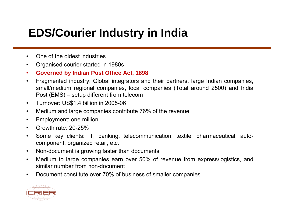#### **EDS/Courier Industry in India**

- •One of the oldest industries
- $\bullet$ Organised courier started in 1980s
- •**Governed by Indian Post Office Act, 1898**
- $\bullet$  Fragmented industry: Global integrators and their partners, large Indian companies, small/medium regional companies, local companies (Total around 2500) and India Post (EMS) – setup different from telecom
- $\bullet$ Turnover: US\$1.4 billion in 2005-06
- $\bullet$ Medium and large companies contribute 76% of the revenue
- •Employment: one million
- •Growth rate: 20-25%
- • Some key clients: IT, banking, telecommunication, textile, pharmaceutical, autocomponent, organized retail, etc.
- $\bullet$ • Non-document is growing faster than documents
- • Medium to large companies earn over 50% of revenue from express/logistics, and similar number from non-document
- •Document constitute over 70% of business of smaller companies

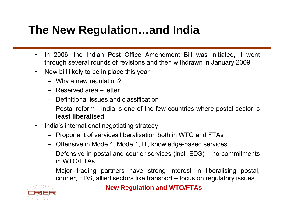#### **The New Regulation…and India**

- $\bullet$  In 2006, the Indian Post Office Amendment Bill was initiated, it went through several rounds of revisions and then withdrawn in January 2009
- • New bill likely to be in place this year
	- Why <sup>a</sup> new regulation?
	- Reserved area letter
	- Definitional issues and classification
	- Postal reform India is one of the few countries where postal sector is **least liberalised**
- $\bullet$  India's international negotiating strategy
	- Proponent of services liberalisation both in WTO and FTAs
	- Offensive in Mode 4, Mode 1, IT, knowledge-based services
	- Defensive in postal and courie r services (incl. EDS) no commitments in WTO/FTAs
	- Major trading partners have strong interest in liberalising postal, courier, EDS, allied sectors like transport – focus on regulatory issues



#### **New Regulation and WTO/FTAs**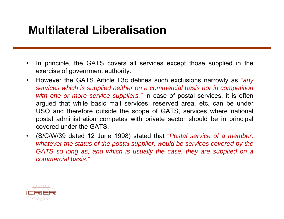#### **Multilateral Liberalisation**

- • In principle, the GATS covers all services except those supplied in the exercise of government authority.
- • However the GATS Article I.3c defines such exclusions narrowly as *"any* services which is supplied neither on a commercial basis nor in competition *with one or more service suppliers."* In case of postal services, it is often argued that while basic mail services, reserved area, etc. can be under USO and therefore outside the scope of GATS, services where national postal administration competes with private sector should be in principal covered under the GATS.
- (S/C/W/39 dated 12 June 1998) stated that "*Postal service of <sup>a</sup> member,* whatever the status of the postal supplier, would be services covered by the *GATS so long as, and which is usually the case, they are supplied on acommercial basis."*

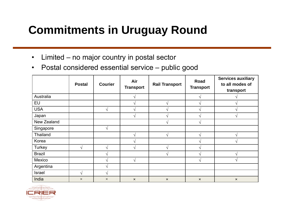#### **Commitments in Uruguay Round**

- $\bullet$ Limited – no major country in postal sector
- • Postal considered essential service –public good

|                 | <b>Postal</b>      | <b>Courier</b>    | Air<br><b>Transport</b> | <b>Rail Transport</b> | Road<br><b>Transport</b> | <b>Services auxiliary</b><br>to all modes of<br>transport |
|-----------------|--------------------|-------------------|-------------------------|-----------------------|--------------------------|-----------------------------------------------------------|
| Australia       |                    |                   |                         |                       |                          |                                                           |
| EU              |                    |                   |                         | $\mathcal{N}$         |                          |                                                           |
| <b>USA</b>      |                    | $\mathcal{N}$     |                         | $\mathcal{A}$         |                          | ان                                                        |
| Japan           |                    |                   |                         | $\mathcal{L}$         |                          | ٨                                                         |
| New Zealand     |                    |                   |                         | $\mathcal{N}$         |                          |                                                           |
| Singapore       |                    | $\mathbf{\hat{}}$ |                         |                       |                          |                                                           |
| <b>Thailand</b> |                    |                   | ٦Ι                      | $\sqrt{ }$            |                          | $\mathcal{N}$                                             |
| Korea           |                    |                   |                         |                       |                          |                                                           |
| Turkey          | $\mathbf{\hat{v}}$ | $\Delta$          |                         | $\mathbf{\hat{i}}$    |                          |                                                           |
| <b>Brazil</b>   |                    | $\mathbf \Lambda$ |                         | $\mathcal{N}$         |                          |                                                           |
| Mexico          |                    | $\mathbf \Lambda$ | V                       |                       |                          |                                                           |
| Argentina       |                    |                   |                         |                       |                          |                                                           |
| <b>Israel</b>   | ٦                  | $\lambda$         |                         |                       |                          |                                                           |
| India           | $\times$           | $\times$          | $\pmb{\times}$          | $\times$              | $\pmb{\times}$           | $\pmb{\times}$                                            |

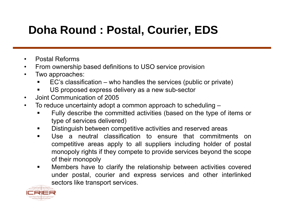#### **Doha Round : Postal, Courier, EDS**

- $\bullet$ Postal Reforms
- $\bullet$ From ownership based definitions to USO service provision
- $\bullet$  Two approaches:
	- EC's classification – who handles the services (public or private)
	- US proposed express delivery as <sup>a</sup> new sub-sector
- $\bullet$ • Joint Communication of 2005
- $\bullet$  To reduce uncertainty adopt <sup>a</sup> common approach to scheduling –
	- Fully describe the committed activities (based on the type of items or type of services delivered)
	- $\blacksquare$ Distinguish between competitive activities and reserved areas
	- $\blacksquare$  Use a neutral classification to ensure that commitments oncompetitive areas apply to all suppliers including holder of postal monopoly rights if they compete to provide services beyond the scope of their monopoly
	- Members have to clarify the relationship between activities covered under postal, courier and express services and other interlinked sectors like transport services.

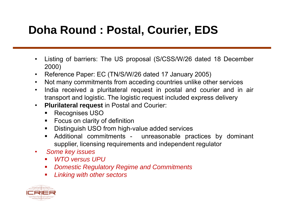#### **Doha Round : Postal, Courier, EDS**

- $\bullet$  Listing of barriers: The US proposal (S/CSS/W/26 dated 18 December 2000)
- Reference Paper: EC (TN/S/W/26 dated 17 January 2005)
- •Not many commitments from acceding countries unlike other services
- $\bullet$  India received <sup>a</sup> pluritateral request in postal and courier and in air transport and logistic. The logistic request included express delivery
- $\bullet$  **Plurilateral request** in Postal and Courier:
	- $\blacksquare$ Recognises USO
	- Focus on clarity of definition
	- $\blacksquare$ Distinguish USO from high-value added services
	- $\blacksquare$  Additional commitments - unreasonable practices by dominant supplier, licensing requirements and independent regulator
- $\bullet$  *Some key issues*
	- *WTO versus UPU*
	- *Domestic Regulatory Regime and Commitments*
	- $\mathbf{r}$ *Linkin g with other sectors*

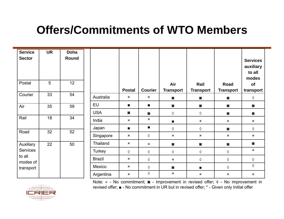#### **Offers/Commitments of WTO Members**

| <b>Service</b><br><b>Sector</b> | <b>UR</b> | <b>Doha</b><br>Round |                 |                           |                           |                           |                           |                           | <b>Services</b><br>auxiliary<br>to all<br>modes |
|---------------------------------|-----------|----------------------|-----------------|---------------------------|---------------------------|---------------------------|---------------------------|---------------------------|-------------------------------------------------|
| Postal                          | 5         | 12                   |                 | <b>Postal</b>             | <b>Courier</b>            | Air<br><b>Transport</b>   | Rail<br><b>Transport</b>  | Road<br><b>Transport</b>  | of<br>transport                                 |
| Courier                         | 33        | 54                   | Australia       | $\boldsymbol{\mathsf{x}}$ | $\boldsymbol{\mathsf{x}}$ | $\circ$                   | $\circ$                   | $\circ$                   | ♦                                               |
| Air                             | 35        | 59                   | EU              | $\blacksquare$            | $\blacksquare$            | $\circ$                   | $\circ$                   | $\circ$                   | $\circ$                                         |
|                                 |           |                      | <b>USA</b>      | $\circ$                   | $\circ$                   | $\Diamond$                | ♦                         | $\circ$                   | $\circ$                                         |
| Rail                            | 18        | 34                   | India           | $\boldsymbol{\mathsf{x}}$ | $\boldsymbol{\mathsf{x}}$ | $\blacksquare$            | $\boldsymbol{\mathsf{x}}$ | $\boldsymbol{\mathsf{x}}$ | $\boldsymbol{\mathsf{x}}$                       |
|                                 |           |                      | Japan           | $\blacksquare$            | $\blacksquare$            | $\Diamond$                | ♦                         | $\circ$                   | ♦                                               |
| Road                            | 32        | 52                   | Singapore       | $\boldsymbol{\mathsf{x}}$ | ♦                         | $\boldsymbol{\mathsf{x}}$ | $\boldsymbol{\mathsf{x}}$ | $\boldsymbol{\mathsf{x}}$ | $\boldsymbol{\mathsf{x}}$                       |
| Auxiliary                       | 22        | 50                   | <b>Thailand</b> | $\boldsymbol{\mathsf{x}}$ | $\boldsymbol{\mathsf{x}}$ | $\circ$                   | $\circ$                   | $\circ$                   | $\circ$                                         |
| <b>Services</b>                 |           |                      | Turkey          | $\Diamond$                | ♦                         | $\Diamond$                | ♦                         | ♦                         | $\boldsymbol{\mathsf{x}}$                       |
| to all<br>modes of              |           |                      | <b>Brazil</b>   | $\boldsymbol{\mathsf{x}}$ | ♦                         | $\boldsymbol{\mathsf{x}}$ | ♦                         | ♦                         | ♦                                               |
| transport                       |           |                      | Mexico          | $\boldsymbol{\mathsf{x}}$ | ♦                         | $\circ$                   | $\blacksquare$            | ♦                         | ♦                                               |
|                                 |           |                      | Argentina       | $\boldsymbol{\mathsf{x}}$ | $\Diamond$                | $\boldsymbol{\mathsf{x}}$ | $\boldsymbol{\mathsf{x}}$ | $\boldsymbol{\mathsf{x}}$ | $\times$                                        |

Note: × - No commitment; ◙ - Improvement in revised offer; ◊ - No improvement in revised offer; ■ - No commitment in UR but in revised offer; \* - Given only Initial offer

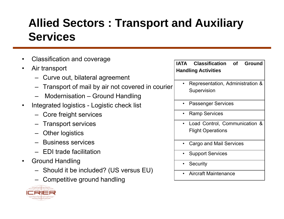#### **Allied Sectors : Transport and Auxiliary Services**

- •Classification and coverage
- • Air transport
	- Curve out, bilateral agreement
	- Transport of mail by air not covered in courier
	- Modernisation Ground Handling
- $\bullet$  Integrated logistics - Logistic check list
	- Core freight services
	-
	- Other logistics
	- Business services
	- EDI trade facilitation–
- • Ground Handling
	- Should it be included? (US versus EU)
	- Competitive ground handling



| <b>IATA Classification of Ground</b><br><b>Handling Activities</b> |
|--------------------------------------------------------------------|
| Representation, Administration &<br>Supervision                    |
| • Passenger Services                                               |
|                                                                    |

- •Ramp Services
- Transport services Load Control Communication Control, Communication & Flight Operations
	- •Cargo and Mail Services
	- •Support Services
	- Security
	- •Aircraft Maintenance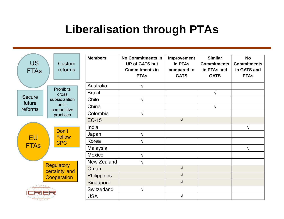#### **Liberalisation through PTAs**

| <b>US</b><br><b>FTAs</b>                                 | Custom<br>reforms                                                   | <b>Members</b>     | <b>No Commitments in</b><br><b>UR of GATS but</b><br><b>Commitments in</b><br><b>PTAs</b> | Improvement<br>in PTAs<br>compared to<br><b>GATS</b> | <b>Similar</b><br><b>Commitments</b><br>in PTAs and<br><b>GATS</b> | <b>No</b><br><b>Commitments</b><br>in GATS and<br><b>PTAs</b> |
|----------------------------------------------------------|---------------------------------------------------------------------|--------------------|-------------------------------------------------------------------------------------------|------------------------------------------------------|--------------------------------------------------------------------|---------------------------------------------------------------|
|                                                          | <b>Prohibits</b><br>cross<br>subsidization<br>anti -<br>competitive | Australia          |                                                                                           |                                                      |                                                                    |                                                               |
| <b>Secure</b><br>future<br>reforms                       |                                                                     | <b>Brazil</b>      |                                                                                           |                                                      | $\sqrt{}$                                                          |                                                               |
|                                                          |                                                                     | Chile              | $\mathcal{N}$                                                                             |                                                      |                                                                    |                                                               |
|                                                          |                                                                     | China              |                                                                                           |                                                      | $\sqrt{}$                                                          |                                                               |
|                                                          | practices                                                           | Colombia           | V                                                                                         |                                                      |                                                                    |                                                               |
|                                                          | Don't<br><b>Follow</b><br><b>CPC</b>                                | <b>EC-15</b>       |                                                                                           | $\sqrt{ }$                                           |                                                                    |                                                               |
| <b>EU</b><br><b>FTAs</b>                                 |                                                                     | India              |                                                                                           |                                                      |                                                                    | $\sqrt{}$                                                     |
|                                                          |                                                                     | Japan              | ا^                                                                                        |                                                      |                                                                    |                                                               |
|                                                          |                                                                     | Korea              |                                                                                           |                                                      |                                                                    |                                                               |
|                                                          |                                                                     | Malaysia           |                                                                                           |                                                      |                                                                    | $\sqrt{}$                                                     |
|                                                          |                                                                     | Mexico             |                                                                                           |                                                      |                                                                    |                                                               |
| <b>Regulatory</b><br>certainty and<br><b>Cooperation</b> |                                                                     | <b>New Zealand</b> | $\mathcal{N}$                                                                             |                                                      |                                                                    |                                                               |
|                                                          |                                                                     | Oman               |                                                                                           | V                                                    |                                                                    |                                                               |
|                                                          |                                                                     | <b>Philippines</b> |                                                                                           | V                                                    |                                                                    |                                                               |
|                                                          |                                                                     | Singapore          |                                                                                           | $\sqrt{}$                                            |                                                                    |                                                               |
|                                                          |                                                                     | Switzerland        | $\mathcal{N}$                                                                             |                                                      |                                                                    |                                                               |
|                                                          |                                                                     | <b>USA</b>         |                                                                                           |                                                      |                                                                    |                                                               |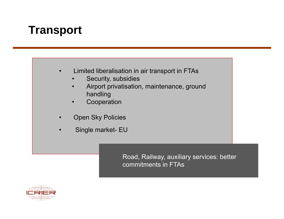#### **Transport**

#### •Limited liberalisation in air transport in FTAs

- •Security, subsidies
- • Airport privatisation, maintenance, ground handling
- •Cooperation
- •Open Sky Policies
- •Single market- EU

Road, Railway, auxiliary services: better commitments in FTAs

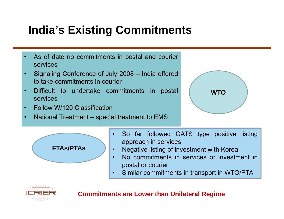#### **India's Existing Commitments**

- • As of date no commitments in postal and courier services
- • Signaling Conference of July 2008 – India offered to take commitments in courier
- •Difficult to undertake commitments in postal **WTO** services
- •Follow W/120 Classification
- •National Treatment – special treatment to EMS





- • So far followed GATS type positive listing approach in services
- •Negative listing of investment with Korea
- • No commitments in services or investment inpostal or courier
- •Similar commitments in transport in WTO/PTA



**Commitments are Lower than Unilateral Regime**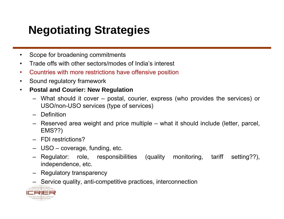### **Negotiating Strategies**

- $\bullet$ Scope for broadening commitments
- $\bullet$ Trade offs with other sectors/modes of India's interest
- $\bullet$ Countries with more restrictions have offensive position
- $\bullet$ Sound regulatory framework
- $\bullet$  **Postal and Courier: New Regulation**
	- What should it cover postal, courier, express (who provides the services) or USO/non-USO services (type of services)
	- Definition
	- Reserved area weight and price multiple what it should include (letter, parcel, EMS??)
	- FDI restrictions?
	- USO coverage, funding, etc.
	- Regulator: role, responsibilities (quality monitoring, tariff setting??), independence, etc.
	- Regulatory transparency
	- Service quality, anti-competitive practices, interconnection

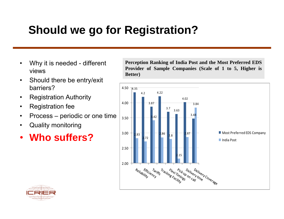#### **Should we go for Registration?**

- •
- $\bullet$  Should there be entry/exit barriers?
- Registration Authority  $\bullet$
- •Registration fee
- •Process – periodic or one time
- Quality monitoring  $\bullet$
- •**Who suffers?**

Why it is needed - different Perception Ranking of India Post and the Most Preferred EDS<br>Provider of Sample Companies (Scale of 1 to 5, Higher is **Better)**



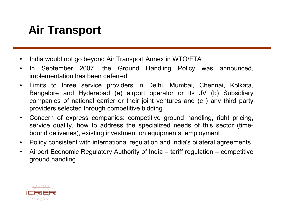## **Air Transport**

- •India would not go beyond Air Transport Annex in WTO/FTA
- $\bullet$ • In September 2007, the Ground Handling Policy was announced, implementation has been deferred
- $\bullet$  Limits to three service providers in Delhi, Mumbai, Chennai, Kolkata, Bangalore and Hyderabad (a) airport operator or its JV (b) Subsidiary companies of national carrier or their joint ventures and (c ) any third party providers selected through competitive bidding
- $\bullet$  Concern of express companies: competitive ground handling, right pricing, service quality, how to address the specialized needs of this sector (timebound deliveries), existing investment on equipments, employment
- $\bullet$ Policy consistent with international regulation and India's bilateral agreements
- $\bullet$  Airport Economic Regulatory Authority of India – tariff regulation – competitive ground handling

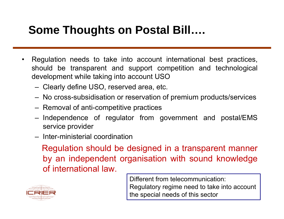#### **Some Thoughts on Postal Bill….**

- • Regulation needs to take into account international best practices, should be transparent and support competition and technological development while taking into account USO
	- Clearly define USO, reserved area, etc.
	- No cross-subsidisation or reservation of premium products/services
	- Removal of anti-competitive practices
	- Independence of regulator from government and postal/EMS service provide r
	- Inter-ministerial coordination

Regulation should be designed in a transparent manner by an independent organisation with sound knowledge of international law.



Different from telecommunication:Regulatory regime need to take into account the special needs of this sector